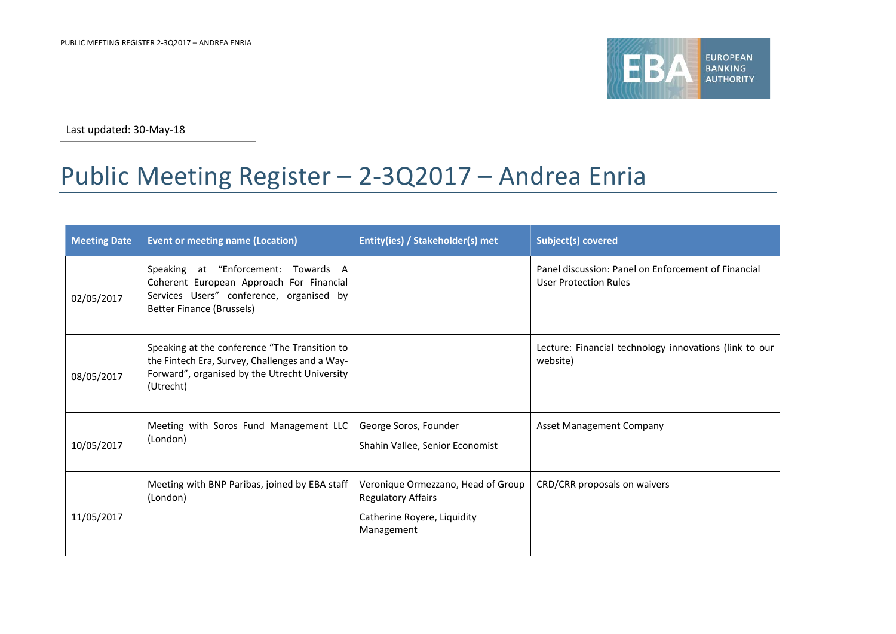

Last updated: 30-May-18

## Public Meeting Register – 2-3Q2017 – Andrea Enria

| <b>Meeting Date</b> | <b>Event or meeting name (Location)</b>                                                                                                                       | Entity(ies) / Stakeholder(s) met                                                                             | <b>Subject(s) covered</b>                                                           |
|---------------------|---------------------------------------------------------------------------------------------------------------------------------------------------------------|--------------------------------------------------------------------------------------------------------------|-------------------------------------------------------------------------------------|
| 02/05/2017          | Speaking at "Enforcement: Towards A<br>Coherent European Approach For Financial<br>Services Users" conference, organised by<br>Better Finance (Brussels)      |                                                                                                              | Panel discussion: Panel on Enforcement of Financial<br><b>User Protection Rules</b> |
| 08/05/2017          | Speaking at the conference "The Transition to<br>the Fintech Era, Survey, Challenges and a Way-<br>Forward", organised by the Utrecht University<br>(Utrecht) |                                                                                                              | Lecture: Financial technology innovations (link to our<br>website)                  |
| 10/05/2017          | Meeting with Soros Fund Management LLC<br>(London)                                                                                                            | George Soros, Founder<br>Shahin Vallee, Senior Economist                                                     | <b>Asset Management Company</b>                                                     |
| 11/05/2017          | Meeting with BNP Paribas, joined by EBA staff<br>(London)                                                                                                     | Veronique Ormezzano, Head of Group<br><b>Regulatory Affairs</b><br>Catherine Royere, Liquidity<br>Management | CRD/CRR proposals on waivers                                                        |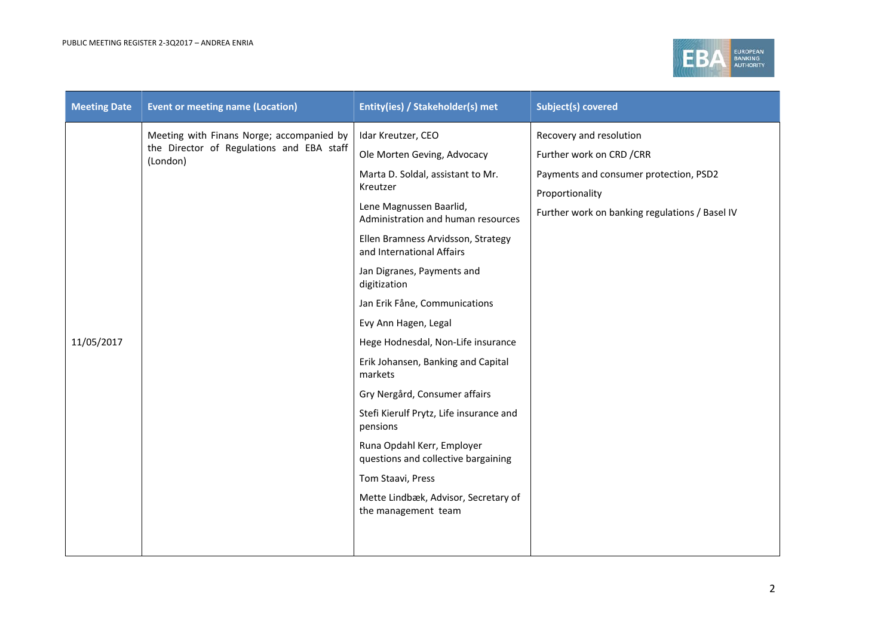

| <b>Meeting Date</b> | <b>Event or meeting name (Location)</b>                                                            | Entity(ies) / Stakeholder(s) met                                  | <b>Subject(s) covered</b>                                                                                   |
|---------------------|----------------------------------------------------------------------------------------------------|-------------------------------------------------------------------|-------------------------------------------------------------------------------------------------------------|
|                     | Meeting with Finans Norge; accompanied by<br>the Director of Regulations and EBA staff<br>(London) | Idar Kreutzer, CEO                                                | Recovery and resolution                                                                                     |
|                     |                                                                                                    | Ole Morten Geving, Advocacy                                       | Further work on CRD / CRR                                                                                   |
|                     |                                                                                                    | Marta D. Soldal, assistant to Mr.<br>Kreutzer                     | Payments and consumer protection, PSD2<br>Proportionality<br>Further work on banking regulations / Basel IV |
|                     |                                                                                                    | Lene Magnussen Baarlid,<br>Administration and human resources     |                                                                                                             |
|                     |                                                                                                    | Ellen Bramness Arvidsson, Strategy<br>and International Affairs   |                                                                                                             |
|                     |                                                                                                    | Jan Digranes, Payments and<br>digitization                        |                                                                                                             |
|                     |                                                                                                    | Jan Erik Fåne, Communications                                     |                                                                                                             |
|                     |                                                                                                    | Evy Ann Hagen, Legal                                              |                                                                                                             |
| 11/05/2017          |                                                                                                    | Hege Hodnesdal, Non-Life insurance                                |                                                                                                             |
|                     |                                                                                                    | Erik Johansen, Banking and Capital<br>markets                     |                                                                                                             |
|                     |                                                                                                    | Gry Nergård, Consumer affairs                                     |                                                                                                             |
|                     |                                                                                                    | Stefi Kierulf Prytz, Life insurance and<br>pensions               |                                                                                                             |
|                     |                                                                                                    | Runa Opdahl Kerr, Employer<br>questions and collective bargaining |                                                                                                             |
|                     |                                                                                                    | Tom Staavi, Press                                                 |                                                                                                             |
|                     |                                                                                                    | Mette Lindbæk, Advisor, Secretary of<br>the management team       |                                                                                                             |
|                     |                                                                                                    |                                                                   |                                                                                                             |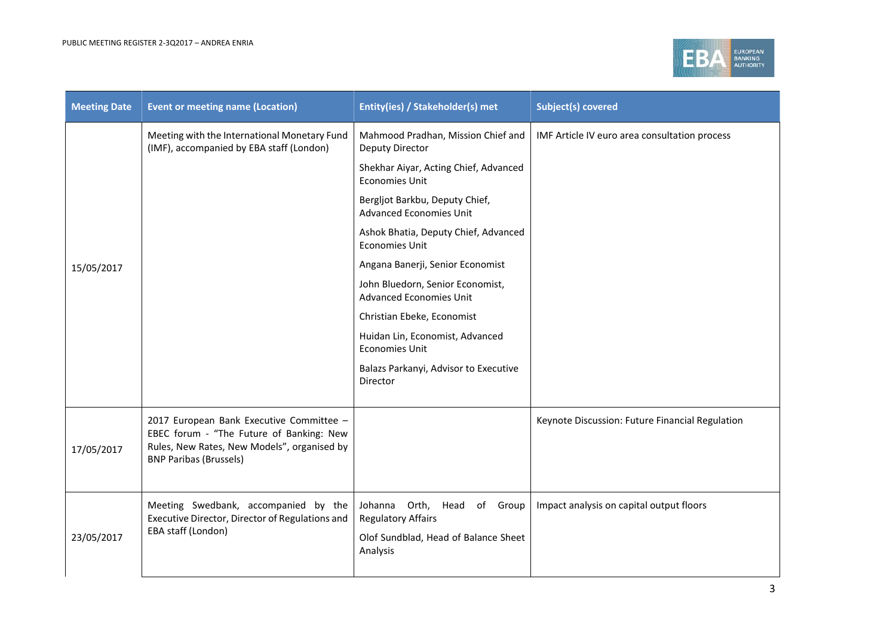

| <b>Meeting Date</b> | <b>Event or meeting name (Location)</b>                                                                                                                              | Entity(ies) / Stakeholder(s) met                                   | <b>Subject(s) covered</b>                       |
|---------------------|----------------------------------------------------------------------------------------------------------------------------------------------------------------------|--------------------------------------------------------------------|-------------------------------------------------|
|                     | Meeting with the International Monetary Fund<br>(IMF), accompanied by EBA staff (London)                                                                             | Mahmood Pradhan, Mission Chief and<br><b>Deputy Director</b>       | IMF Article IV euro area consultation process   |
|                     |                                                                                                                                                                      | Shekhar Aiyar, Acting Chief, Advanced<br><b>Economies Unit</b>     |                                                 |
|                     |                                                                                                                                                                      | Bergljot Barkbu, Deputy Chief,<br><b>Advanced Economies Unit</b>   |                                                 |
|                     |                                                                                                                                                                      | Ashok Bhatia, Deputy Chief, Advanced<br><b>Economies Unit</b>      |                                                 |
| 15/05/2017          |                                                                                                                                                                      | Angana Banerji, Senior Economist                                   |                                                 |
|                     |                                                                                                                                                                      | John Bluedorn, Senior Economist,<br><b>Advanced Economies Unit</b> |                                                 |
|                     |                                                                                                                                                                      | Christian Ebeke, Economist                                         |                                                 |
|                     |                                                                                                                                                                      | Huidan Lin, Economist, Advanced<br><b>Economies Unit</b>           |                                                 |
|                     |                                                                                                                                                                      | Balazs Parkanyi, Advisor to Executive<br>Director                  |                                                 |
|                     |                                                                                                                                                                      |                                                                    |                                                 |
| 17/05/2017          | 2017 European Bank Executive Committee -<br>EBEC forum - "The Future of Banking: New<br>Rules, New Rates, New Models", organised by<br><b>BNP Paribas (Brussels)</b> |                                                                    | Keynote Discussion: Future Financial Regulation |
|                     |                                                                                                                                                                      |                                                                    |                                                 |
|                     | Meeting Swedbank, accompanied by the<br>Executive Director, Director of Regulations and                                                                              | Johanna Orth, Head of Group<br><b>Regulatory Affairs</b>           | Impact analysis on capital output floors        |
| 23/05/2017          | EBA staff (London)                                                                                                                                                   | Olof Sundblad, Head of Balance Sheet<br>Analysis                   |                                                 |
|                     |                                                                                                                                                                      |                                                                    |                                                 |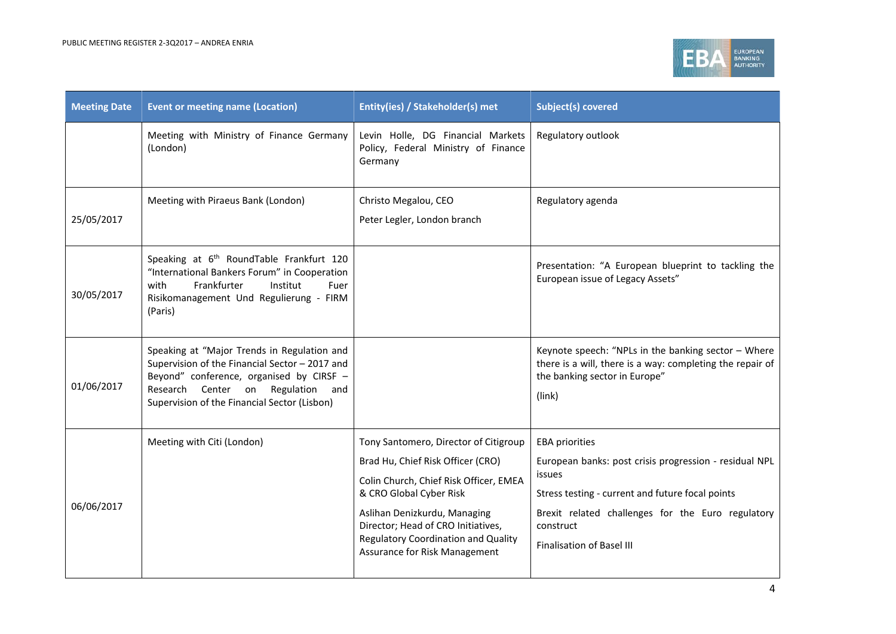

| <b>Event or meeting name (Location)</b>                                                                                                                                                                                           | Entity(ies) / Stakeholder(s) met                                                                                                                  | <b>Subject(s) covered</b>                                                                                                                                   |
|-----------------------------------------------------------------------------------------------------------------------------------------------------------------------------------------------------------------------------------|---------------------------------------------------------------------------------------------------------------------------------------------------|-------------------------------------------------------------------------------------------------------------------------------------------------------------|
| Meeting with Ministry of Finance Germany<br>(London)                                                                                                                                                                              | Levin Holle, DG Financial Markets<br>Policy, Federal Ministry of Finance<br>Germany                                                               | Regulatory outlook                                                                                                                                          |
| Meeting with Piraeus Bank (London)                                                                                                                                                                                                | Christo Megalou, CEO<br>Peter Legler, London branch                                                                                               | Regulatory agenda                                                                                                                                           |
| Speaking at 6 <sup>th</sup> RoundTable Frankfurt 120<br>"International Bankers Forum" in Cooperation<br>Frankfurter<br>Institut<br>with<br>Fuer<br>Risikomanagement Und Regulierung - FIRM<br>(Paris)                             |                                                                                                                                                   | Presentation: "A European blueprint to tackling the<br>European issue of Legacy Assets"                                                                     |
| Speaking at "Major Trends in Regulation and<br>Supervision of the Financial Sector - 2017 and<br>Beyond" conference, organised by CIRSF -<br>Research Center on Regulation<br>and<br>Supervision of the Financial Sector (Lisbon) |                                                                                                                                                   | Keynote speech: "NPLs in the banking sector - Where<br>there is a will, there is a way: completing the repair of<br>the banking sector in Europe"<br>(link) |
| Meeting with Citi (London)                                                                                                                                                                                                        | Tony Santomero, Director of Citigroup                                                                                                             | <b>EBA priorities</b>                                                                                                                                       |
|                                                                                                                                                                                                                                   | Brad Hu, Chief Risk Officer (CRO)                                                                                                                 | European banks: post crisis progression - residual NPL                                                                                                      |
|                                                                                                                                                                                                                                   | Colin Church, Chief Risk Officer, EMEA<br>& CRO Global Cyber Risk                                                                                 | issues<br>Stress testing - current and future focal points                                                                                                  |
|                                                                                                                                                                                                                                   | Aslihan Denizkurdu, Managing<br>Director; Head of CRO Initiatives,<br><b>Regulatory Coordination and Quality</b><br>Assurance for Risk Management | Brexit related challenges for the Euro regulatory<br>construct<br><b>Finalisation of Basel III</b>                                                          |
|                                                                                                                                                                                                                                   |                                                                                                                                                   |                                                                                                                                                             |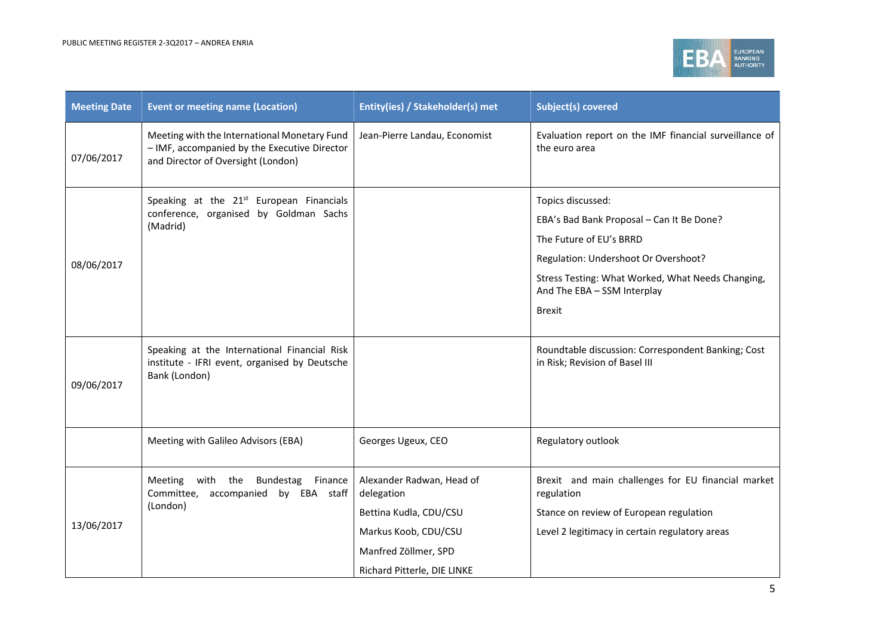

| <b>Meeting Date</b> | <b>Event or meeting name (Location)</b>                                                                                            | Entity(ies) / Stakeholder(s) met                                                                                                                 | <b>Subject(s) covered</b>                                                                                                                                                                                                              |
|---------------------|------------------------------------------------------------------------------------------------------------------------------------|--------------------------------------------------------------------------------------------------------------------------------------------------|----------------------------------------------------------------------------------------------------------------------------------------------------------------------------------------------------------------------------------------|
| 07/06/2017          | Meeting with the International Monetary Fund<br>- IMF, accompanied by the Executive Director<br>and Director of Oversight (London) | Jean-Pierre Landau, Economist                                                                                                                    | Evaluation report on the IMF financial surveillance of<br>the euro area                                                                                                                                                                |
| 08/06/2017          | Speaking at the 21 <sup>st</sup> European Financials<br>conference, organised by Goldman Sachs<br>(Madrid)                         |                                                                                                                                                  | Topics discussed:<br>EBA's Bad Bank Proposal - Can It Be Done?<br>The Future of EU's BRRD<br>Regulation: Undershoot Or Overshoot?<br>Stress Testing: What Worked, What Needs Changing,<br>And The EBA - SSM Interplay<br><b>Brexit</b> |
| 09/06/2017          | Speaking at the International Financial Risk<br>institute - IFRI event, organised by Deutsche<br>Bank (London)                     |                                                                                                                                                  | Roundtable discussion: Correspondent Banking; Cost<br>in Risk; Revision of Basel III                                                                                                                                                   |
|                     | Meeting with Galileo Advisors (EBA)                                                                                                | Georges Ugeux, CEO                                                                                                                               | Regulatory outlook                                                                                                                                                                                                                     |
| 13/06/2017          | Meeting<br>with the Bundestag<br>Finance<br>Committee, accompanied by EBA staff<br>(London)                                        | Alexander Radwan, Head of<br>delegation<br>Bettina Kudla, CDU/CSU<br>Markus Koob, CDU/CSU<br>Manfred Zöllmer, SPD<br>Richard Pitterle, DIE LINKE | Brexit and main challenges for EU financial market<br>regulation<br>Stance on review of European regulation<br>Level 2 legitimacy in certain regulatory areas                                                                          |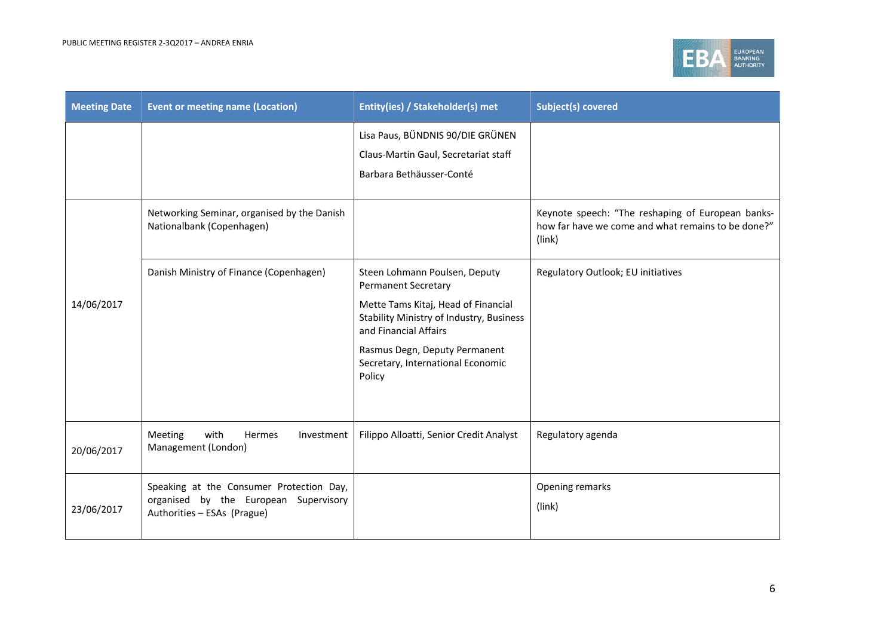

| <b>Meeting Date</b> | <b>Event or meeting name (Location)</b>                                                                          | Entity(ies) / Stakeholder(s) met                                                                                                               | <b>Subject(s) covered</b>                                                                                         |
|---------------------|------------------------------------------------------------------------------------------------------------------|------------------------------------------------------------------------------------------------------------------------------------------------|-------------------------------------------------------------------------------------------------------------------|
|                     |                                                                                                                  | Lisa Paus, BÜNDNIS 90/DIE GRÜNEN<br>Claus-Martin Gaul, Secretariat staff<br>Barbara Bethäusser-Conté                                           |                                                                                                                   |
|                     | Networking Seminar, organised by the Danish<br>Nationalbank (Copenhagen)                                         |                                                                                                                                                | Keynote speech: "The reshaping of European banks-<br>how far have we come and what remains to be done?"<br>(link) |
| 14/06/2017          | Danish Ministry of Finance (Copenhagen)                                                                          | Steen Lohmann Poulsen, Deputy<br><b>Permanent Secretary</b><br>Mette Tams Kitaj, Head of Financial<br>Stability Ministry of Industry, Business | Regulatory Outlook; EU initiatives                                                                                |
|                     |                                                                                                                  | and Financial Affairs<br>Rasmus Degn, Deputy Permanent<br>Secretary, International Economic<br>Policy                                          |                                                                                                                   |
| 20/06/2017          | with<br>Meeting<br><b>Hermes</b><br>Investment<br>Management (London)                                            | Filippo Alloatti, Senior Credit Analyst                                                                                                        | Regulatory agenda                                                                                                 |
| 23/06/2017          | Speaking at the Consumer Protection Day,<br>organised by the European Supervisory<br>Authorities - ESAs (Prague) |                                                                                                                                                | Opening remarks<br>(link)                                                                                         |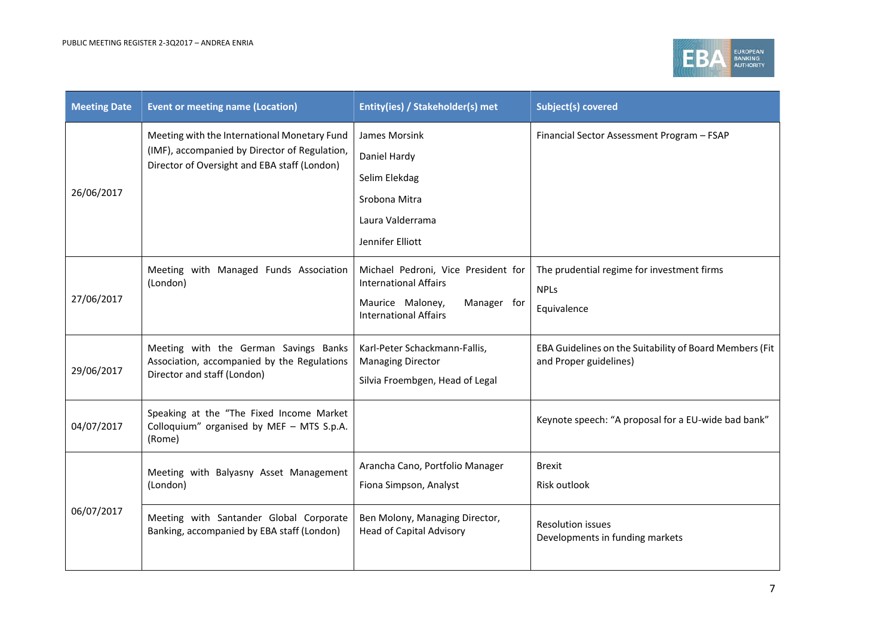

| <b>Meeting Date</b> | <b>Event or meeting name (Location)</b>                                                                                                       | Entity(ies) / Stakeholder(s) met                                                                                                       | <b>Subject(s) covered</b>                                                         |
|---------------------|-----------------------------------------------------------------------------------------------------------------------------------------------|----------------------------------------------------------------------------------------------------------------------------------------|-----------------------------------------------------------------------------------|
| 26/06/2017          | Meeting with the International Monetary Fund<br>(IMF), accompanied by Director of Regulation,<br>Director of Oversight and EBA staff (London) | James Morsink<br>Daniel Hardy<br>Selim Elekdag<br>Srobona Mitra<br>Laura Valderrama<br>Jennifer Elliott                                | Financial Sector Assessment Program - FSAP                                        |
| 27/06/2017          | Meeting with Managed Funds Association<br>(London)                                                                                            | Michael Pedroni, Vice President for<br><b>International Affairs</b><br>Maurice Maloney,<br>Manager for<br><b>International Affairs</b> | The prudential regime for investment firms<br><b>NPLs</b><br>Equivalence          |
| 29/06/2017          | Meeting with the German Savings Banks<br>Association, accompanied by the Regulations<br>Director and staff (London)                           | Karl-Peter Schackmann-Fallis,<br><b>Managing Director</b><br>Silvia Froembgen, Head of Legal                                           | EBA Guidelines on the Suitability of Board Members (Fit<br>and Proper guidelines) |
| 04/07/2017          | Speaking at the "The Fixed Income Market<br>Colloquium" organised by MEF - MTS S.p.A.<br>(Rome)                                               |                                                                                                                                        | Keynote speech: "A proposal for a EU-wide bad bank"                               |
|                     | Meeting with Balyasny Asset Management<br>(London)                                                                                            | Arancha Cano, Portfolio Manager<br>Fiona Simpson, Analyst                                                                              | <b>Brexit</b><br>Risk outlook                                                     |
| 06/07/2017          | Meeting with Santander Global Corporate<br>Banking, accompanied by EBA staff (London)                                                         | Ben Molony, Managing Director,<br><b>Head of Capital Advisory</b>                                                                      | <b>Resolution issues</b><br>Developments in funding markets                       |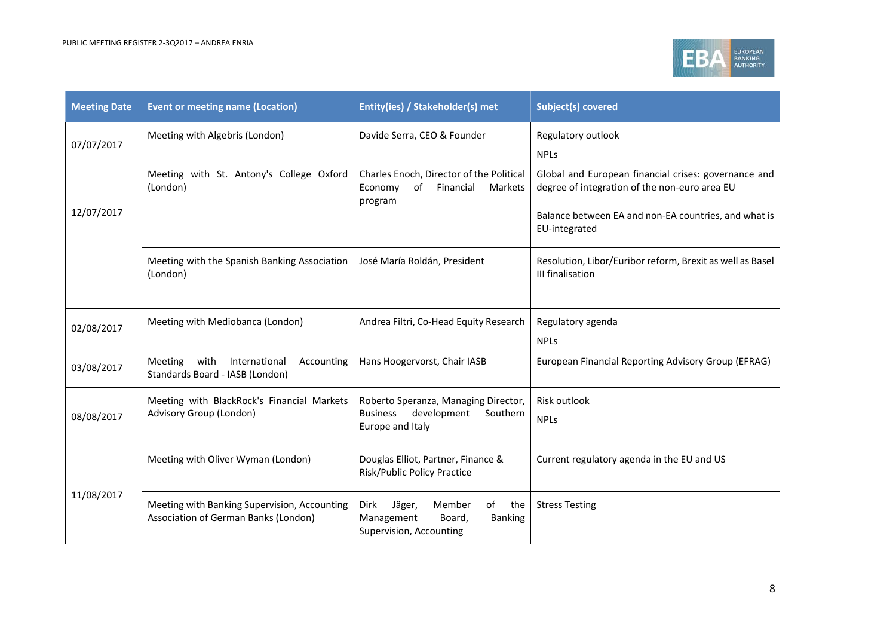

| <b>Meeting Date</b> | <b>Event or meeting name (Location)</b>                                              | Entity(ies) / Stakeholder(s) met                                                                           | <b>Subject(s) covered</b>                                                                                                                                                      |
|---------------------|--------------------------------------------------------------------------------------|------------------------------------------------------------------------------------------------------------|--------------------------------------------------------------------------------------------------------------------------------------------------------------------------------|
| 07/07/2017          | Meeting with Algebris (London)                                                       | Davide Serra, CEO & Founder                                                                                | Regulatory outlook<br><b>NPLs</b>                                                                                                                                              |
| 12/07/2017          | Meeting with St. Antony's College Oxford<br>(London)                                 | Charles Enoch, Director of the Political<br>of<br>Financial<br>Economy<br>Markets<br>program               | Global and European financial crises: governance and<br>degree of integration of the non-euro area EU<br>Balance between EA and non-EA countries, and what is<br>EU-integrated |
|                     | Meeting with the Spanish Banking Association<br>(London)                             | José María Roldán, President                                                                               | Resolution, Libor/Euribor reform, Brexit as well as Basel<br>III finalisation                                                                                                  |
| 02/08/2017          | Meeting with Mediobanca (London)                                                     | Andrea Filtri, Co-Head Equity Research                                                                     | Regulatory agenda<br><b>NPLs</b>                                                                                                                                               |
| 03/08/2017          | with<br>International<br>Meeting<br>Accounting<br>Standards Board - IASB (London)    | Hans Hoogervorst, Chair IASB                                                                               | European Financial Reporting Advisory Group (EFRAG)                                                                                                                            |
| 08/08/2017          | Meeting with BlackRock's Financial Markets<br>Advisory Group (London)                | Roberto Speranza, Managing Director,<br>development<br><b>Business</b><br>Southern<br>Europe and Italy     | Risk outlook<br><b>NPLs</b>                                                                                                                                                    |
|                     | Meeting with Oliver Wyman (London)                                                   | Douglas Elliot, Partner, Finance &<br>Risk/Public Policy Practice                                          | Current regulatory agenda in the EU and US                                                                                                                                     |
| 11/08/2017          | Meeting with Banking Supervision, Accounting<br>Association of German Banks (London) | Dirk<br>Jäger,<br>Member<br>of<br>the<br>Management<br>Board,<br><b>Banking</b><br>Supervision, Accounting | <b>Stress Testing</b>                                                                                                                                                          |